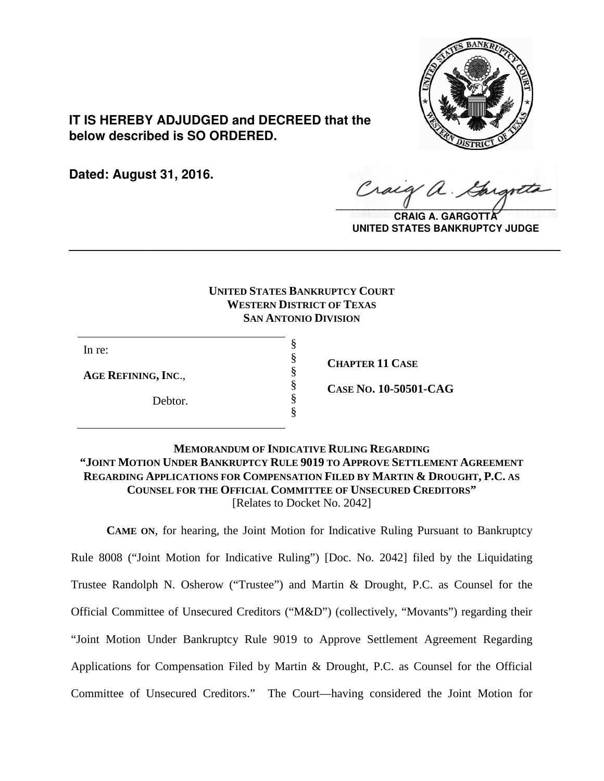

**IT IS HEREBY ADJUDGED and DECREED that the below described is SO ORDERED.**

**Dated: August 31, 2016.**

Craig a.  $\sqrt{2}$ 

**CRAIG A. GARGOTTA UNITED STATES BANKRUPTCY JUDGE**

## **UNITED STATES BANKRUPTCY COURT WESTERN DISTRICT OF TEXAS SAN ANTONIO DIVISION**

**\_\_\_\_\_\_\_\_\_\_\_\_\_\_\_\_\_\_\_\_\_\_\_\_\_\_\_\_\_\_\_\_\_\_\_\_\_\_\_\_\_\_\_\_\_\_\_\_\_\_\_\_\_\_\_\_\_\_\_\_\_\_\_\_**

§ § § § § §

**AGE REFINING, INC**.*,*

Debtor.

**CHAPTER 11 CASE**

**CASE NO. 10-50501-CAG**

## **MEMORANDUM OF INDICATIVE RULING REGARDING "JOINT MOTION UNDER BANKRUPTCY RULE 9019 TO APPROVE SETTLEMENT AGREEMENT REGARDING APPLICATIONS FOR COMPENSATION FILED BY MARTIN & DROUGHT, P.C. AS COUNSEL FOR THE OFFICIAL COMMITTEE OF UNSECURED CREDITORS"**  [Relates to Docket No. 2042]

**CAME ON**, for hearing, the Joint Motion for Indicative Ruling Pursuant to Bankruptcy Rule 8008 ("Joint Motion for Indicative Ruling") [Doc. No. 2042] filed by the Liquidating Trustee Randolph N. Osherow ("Trustee") and Martin & Drought, P.C. as Counsel for the Official Committee of Unsecured Creditors ("M&D") (collectively, "Movants") regarding their "Joint Motion Under Bankruptcy Rule 9019 to Approve Settlement Agreement Regarding Applications for Compensation Filed by Martin & Drought, P.C. as Counsel for the Official Committee of Unsecured Creditors." The Court—having considered the Joint Motion for